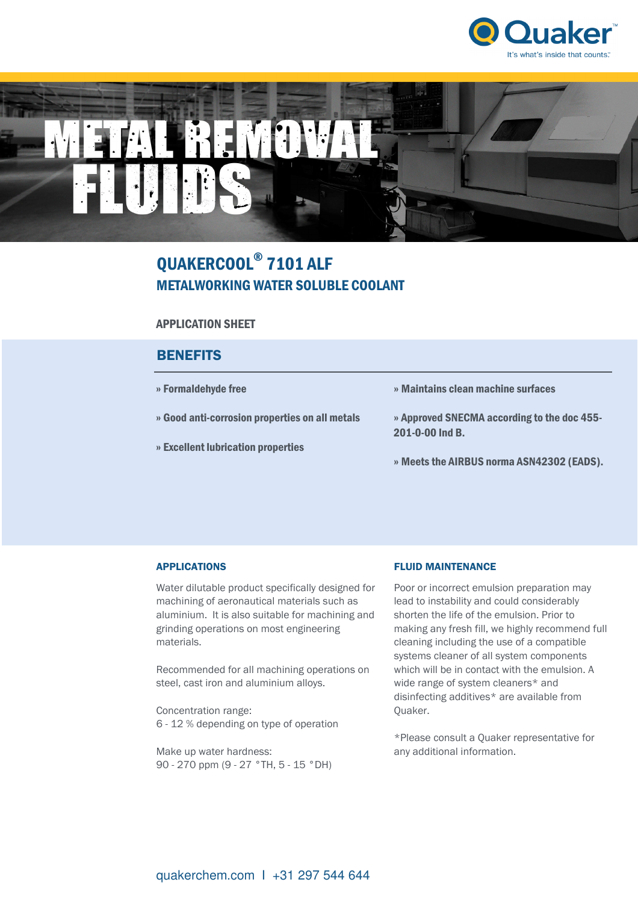



## QUAKERCOOL® 7101 ALF METALWORKING WATER SOLUBLE COOLANT

## APPLICATION SHEET

## **BENEFITS**

- » Formaldehyde free
- » Good anti-corrosion properties on all metals
- » Excellent lubrication properties
- » Maintains clean machine surfaces
- » Approved SNECMA according to the doc 455- 201-0-00 Ind B.
- » Meets the AIRBUS norma ASN42302 (EADS).

## APPLICATIONS

Water dilutable product specifically designed for machining of aeronautical materials such as aluminium. It is also suitable for machining and grinding operations on most engineering materials.

Recommended for all machining operations on steel, cast iron and aluminium alloys.

Concentration range: 6 - 12 % depending on type of operation

Make up water hardness: 90 - 270 ppm (9 - 27 °TH, 5 - 15 °DH)

### FLUID MAINTENANCE

Poor or incorrect emulsion preparation may lead to instability and could considerably shorten the life of the emulsion. Prior to making any fresh fill, we highly recommend full cleaning including the use of a compatible systems cleaner of all system components which will be in contact with the emulsion. A wide range of system cleaners\* and disinfecting additives\* are available from Quaker.

\*Please consult a Quaker representative for any additional information.